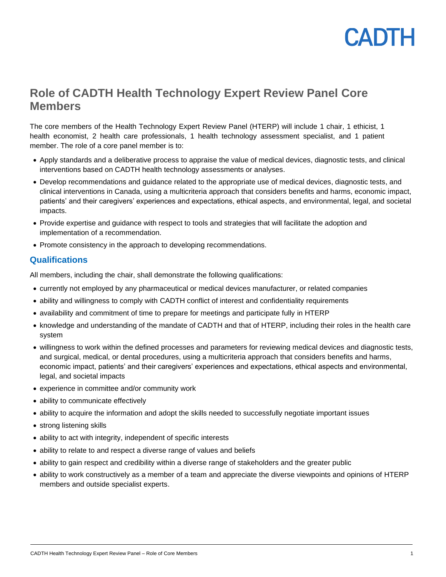

# **Role of CADTH Health Technology Expert Review Panel Core Members**

The core members of the Health Technology Expert Review Panel (HTERP) will include 1 chair, 1 ethicist, 1 health economist, 2 health care professionals, 1 health technology assessment specialist, and 1 patient member. The role of a core panel member is to:

- Apply standards and a deliberative process to appraise the value of medical devices, diagnostic tests, and clinical interventions based on CADTH health technology assessments or analyses.
- Develop recommendations and guidance related to the appropriate use of medical devices, diagnostic tests, and clinical interventions in Canada, using a multicriteria approach that considers benefits and harms, economic impact, patients' and their caregivers' experiences and expectations, ethical aspects, and environmental, legal, and societal impacts.
- Provide expertise and guidance with respect to tools and strategies that will facilitate the adoption and implementation of a recommendation.
- Promote consistency in the approach to developing recommendations.

#### **Qualifications**

All members, including the chair, shall demonstrate the following qualifications:

- currently not employed by any pharmaceutical or medical devices manufacturer, or related companies
- ability and willingness to comply with CADTH conflict of interest and confidentiality requirements
- availability and commitment of time to prepare for meetings and participate fully in HTERP
- knowledge and understanding of the mandate of CADTH and that of HTERP, including their roles in the health care system
- willingness to work within the defined processes and parameters for reviewing medical devices and diagnostic tests, and surgical, medical, or dental procedures, using a multicriteria approach that considers benefits and harms, economic impact, patients' and their caregivers' experiences and expectations, ethical aspects and environmental, legal, and societal impacts
- experience in committee and/or community work
- ability to communicate effectively
- ability to acquire the information and adopt the skills needed to successfully negotiate important issues
- strong listening skills
- ability to act with integrity, independent of specific interests
- ability to relate to and respect a diverse range of values and beliefs
- ability to gain respect and credibility within a diverse range of stakeholders and the greater public
- ability to work constructively as a member of a team and appreciate the diverse viewpoints and opinions of HTERP members and outside specialist experts.